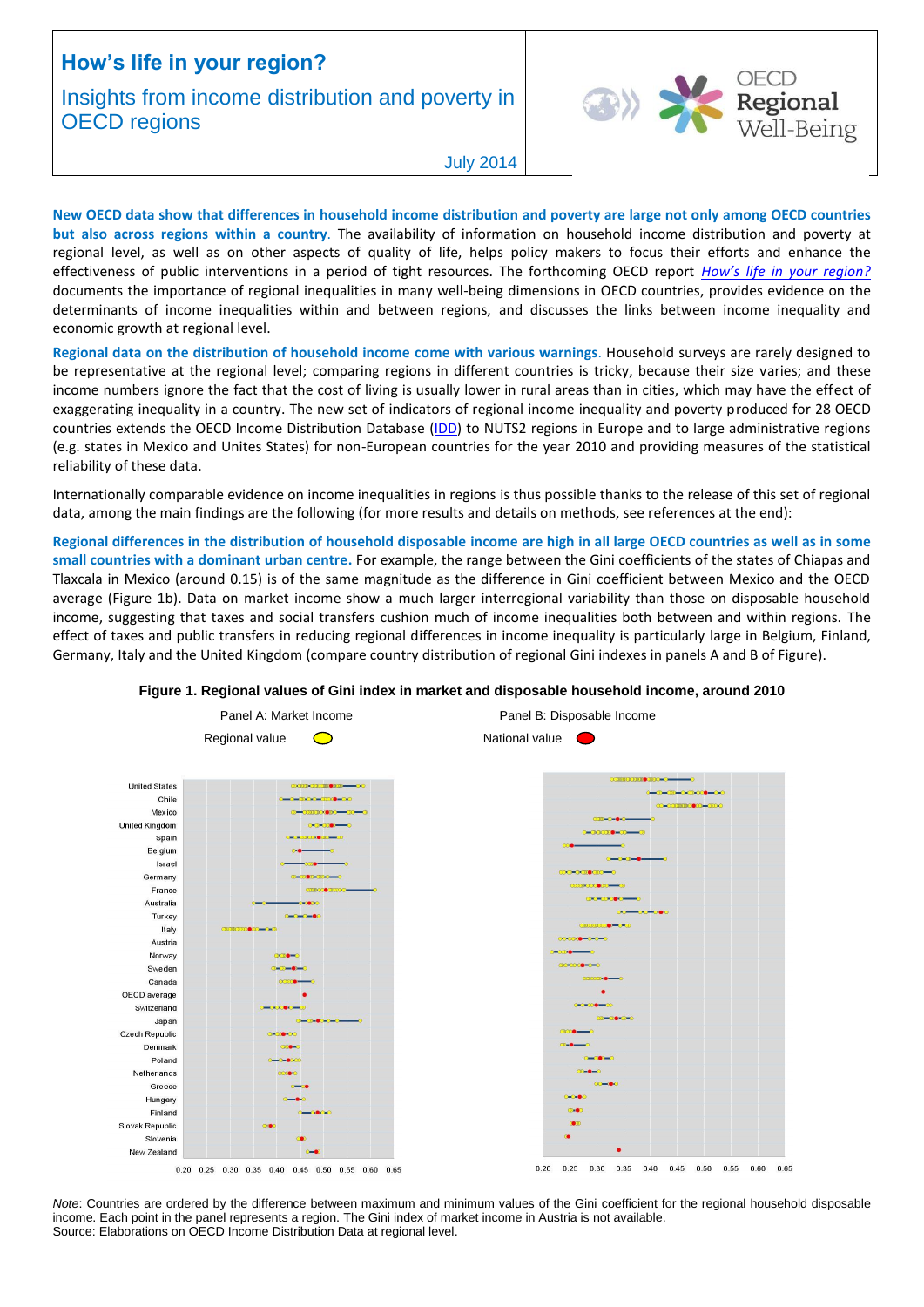# **How's life in your region?**

# Insights from income distribution and poverty in **OECD** regions



July 2014

**New OECD data show that differences in household income distribution and poverty are large not only among OECD countries but also across regions within a country**. The availability of information on household income distribution and poverty at regional level, as well as on other aspects of quality of life, helps policy makers to focus their efforts and enhance the effectiveness of public interventions in a period of tight resources. The forthcoming OECD report *[How's life in your region?](http://www.oecd.org/regional/how-is-life-in-your-region.htm)* documents the importance of regional inequalities in many well-being dimensions in OECD countries, provides evidence on the determinants of income inequalities within and between regions, and discusses the links between income inequality and economic growth at regional level.

**Regional data on the distribution of household income come with various warnings**. Household surveys are rarely designed to be representative at the regional level; comparing regions in different countries is tricky, because their size varies; and these income numbers ignore the fact that the cost of living is usually lower in rural areas than in cities, which may have the effect of exaggerating inequality in a country. The new set of indicators of regional income inequality and poverty produced for 28 OECD countries extends the OECD Income Distribution Database [\(IDD\)](http://oe.cd/idd) to NUTS2 regions in Europe and to large administrative regions (e.g. states in Mexico and Unites States) for non-European countries for the year 2010 and providing measures of the statistical reliability of these data.

Internationally comparable evidence on income inequalities in regions is thus possible thanks to the release of this set of regional data, among the main findings are the following (for more results and details on methods, see references at the end):

**Regional differences in the distribution of household disposable income are high in all large OECD countries as well as in some small countries with a dominant urban centre.** For example, the range between the Gini coefficients of the states of Chiapas and Tlaxcala in Mexico (around 0.15) is of the same magnitude as the difference in Gini coefficient between Mexico and the OECD average (Figure 1b). Data on market income show a much larger interregional variability than those on disposable household income, suggesting that taxes and social transfers cushion much of income inequalities both between and within regions. The effect of taxes and public transfers in reducing regional differences in income inequality is particularly large in Belgium, Finland, Germany, Italy and the United Kingdom (compare country distribution of regional Gini indexes in panels A and B of Figure).



## **Figure 1. Regional values of Gini index in market and disposable household income, around 2010**

*Note*: Countries are ordered by the difference between maximum and minimum values of the Gini coefficient for the regional household disposable income. Each point in the panel represents a region. The Gini index of market income in Austria is not available. Source: Elaborations on OECD Income Distribution Data at regional level.